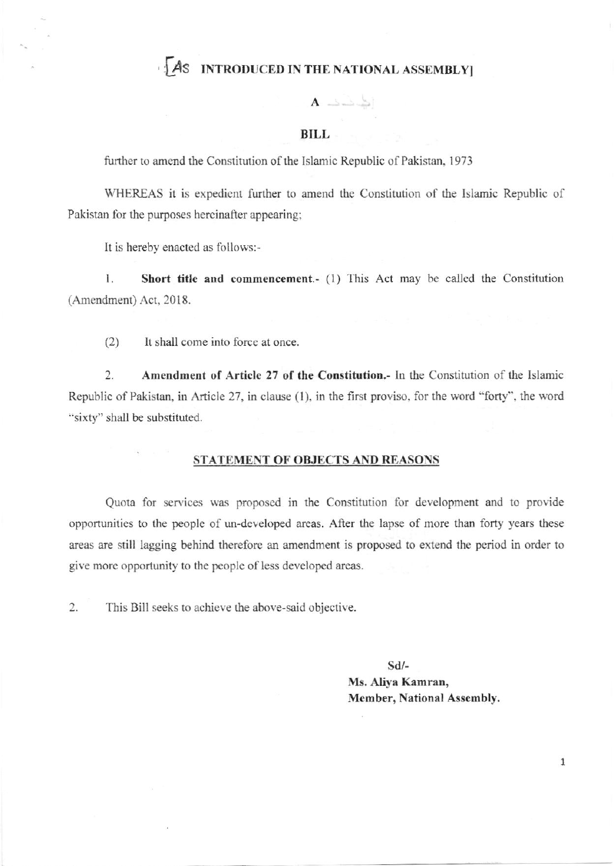### AS INTRODUCED IN THE NATIONAL ASSEMBLY

 $A \implies$ 

#### **BILL**

further to amend the Constitution of the Islamic Republic of Pakistan, 1973

WHEREAS it is expedient further to amend the Constitution of the Islamic Republic of Pakistan for the purposes hereinafter appearing;

It is hereby enacted as follows:-

1. Short title and commencement.- (1) This Act may be called the Constitution (Amendment) Act, 2018.

 $(2)$ It shall come into force at once.

Amendment of Article 27 of the Constitution.- In the Constitution of the Islamic  $\overline{2}$ . Republic of Pakistan, in Article 27, in clause (1), in the first proviso, for the word "forty", the word "sixty" shall be substituted.

#### STATEMENT OF OBJECTS AND REASONS

Quota for services was proposed in the Constitution for development and to provide opportunities to the people of un-developed areas. After the lapse of more than forty years these areas are still lagging behind therefore an amendment is proposed to extend the period in order to give more opportunity to the people of less developed areas.

 $2.$ This Bill seeks to achieve the above-said objective.

> $Sd$ /-Ms. Aliva Kamran, Member, National Assembly.

> > $\mathbf{1}$